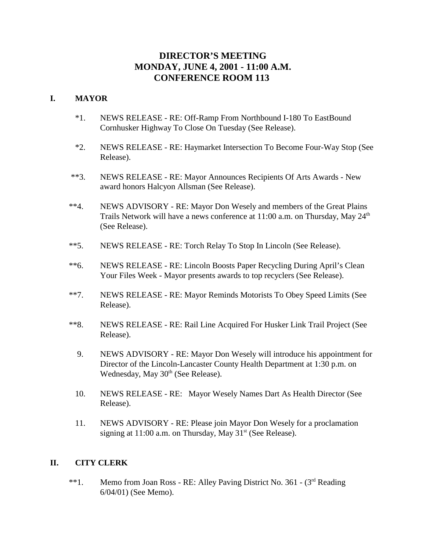# **DIRECTOR'S MEETING MONDAY, JUNE 4, 2001 - 11:00 A.M. CONFERENCE ROOM 113**

#### **I. MAYOR**

- \*1. NEWS RELEASE RE: Off-Ramp From Northbound I-180 To EastBound Cornhusker Highway To Close On Tuesday (See Release).
- \*2. NEWS RELEASE RE: Haymarket Intersection To Become Four-Way Stop (See Release).
- \*\*3. NEWS RELEASE RE: Mayor Announces Recipients Of Arts Awards New award honors Halcyon Allsman (See Release).
- \*\*4. NEWS ADVISORY RE: Mayor Don Wesely and members of the Great Plains Trails Network will have a news conference at  $11:00$  a.m. on Thursday, May  $24<sup>th</sup>$ (See Release).
- \*\*5. NEWS RELEASE RE: Torch Relay To Stop In Lincoln (See Release).
- \*\*6. NEWS RELEASE RE: Lincoln Boosts Paper Recycling During April's Clean Your Files Week - Mayor presents awards to top recyclers (See Release).
- \*\*7. NEWS RELEASE RE: Mayor Reminds Motorists To Obey Speed Limits (See Release).
- \*\*8. NEWS RELEASE RE: Rail Line Acquired For Husker Link Trail Project (See Release).
	- 9. NEWS ADVISORY RE: Mayor Don Wesely will introduce his appointment for Director of the Lincoln-Lancaster County Health Department at 1:30 p.m. on Wednesday, May 30<sup>th</sup> (See Release).
	- 10. NEWS RELEASE RE: Mayor Wesely Names Dart As Health Director (See Release).
	- 11. NEWS ADVISORY RE: Please join Mayor Don Wesely for a proclamation signing at  $11:00$  a.m. on Thursday, May  $31<sup>st</sup>$  (See Release).

### **II. CITY CLERK**

\*\*1. Memo from Joan Ross - RE: Alley Paving District No. 361 - (3<sup>rd</sup> Reading 6/04/01) (See Memo).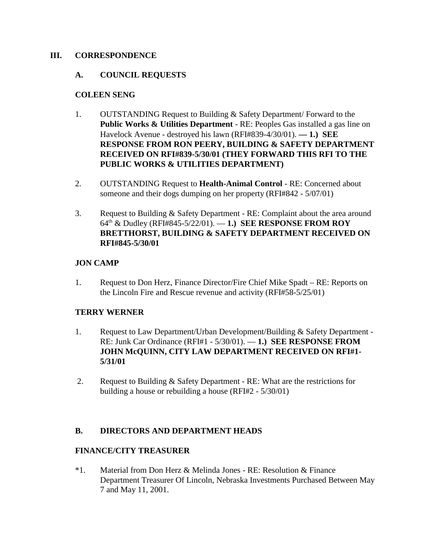#### **III. CORRESPONDENCE**

#### **A. COUNCIL REQUESTS**

#### **COLEEN SENG**

- 1. OUTSTANDING Request to Building & Safety Department/ Forward to the **Public Works & Utilities Department** - RE: Peoples Gas installed a gas line on Havelock Avenue - destroyed his lawn (RFI#839-4/30/01). **— 1.) SEE RESPONSE FROM RON PEERY, BUILDING & SAFETY DEPARTMENT RECEIVED ON RFI#839-5/30/01 (THEY FORWARD THIS RFI TO THE PUBLIC WORKS & UTILITIES DEPARTMENT)**
- 2. OUTSTANDING Request to **Health-Animal Control** RE: Concerned about someone and their dogs dumping on her property (RFI#842 - 5/07/01)
- 3. Request to Building & Safety Department RE: Complaint about the area around 64th & Dudley (RFI#845-5/22/01). — **1.) SEE RESPONSE FROM ROY BRETTHORST, BUILDING & SAFETY DEPARTMENT RECEIVED ON RFI#845-5/30/01**

### **JON CAMP**

1. Request to Don Herz, Finance Director/Fire Chief Mike Spadt – RE: Reports on the Lincoln Fire and Rescue revenue and activity (RFI#58-5/25/01)

#### **TERRY WERNER**

- 1. Request to Law Department/Urban Development/Building & Safety Department RE: Junk Car Ordinance (RFI#1 - 5/30/01). — **1.) SEE RESPONSE FROM JOHN McQUINN, CITY LAW DEPARTMENT RECEIVED ON RFI#1- 5/31/01**
- 2. Request to Building & Safety Department RE: What are the restrictions for building a house or rebuilding a house (RFI#2 - 5/30/01)

### **B. DIRECTORS AND DEPARTMENT HEADS**

#### **FINANCE/CITY TREASURER**

\*1. Material from Don Herz & Melinda Jones - RE: Resolution & Finance Department Treasurer Of Lincoln, Nebraska Investments Purchased Between May 7 and May 11, 2001.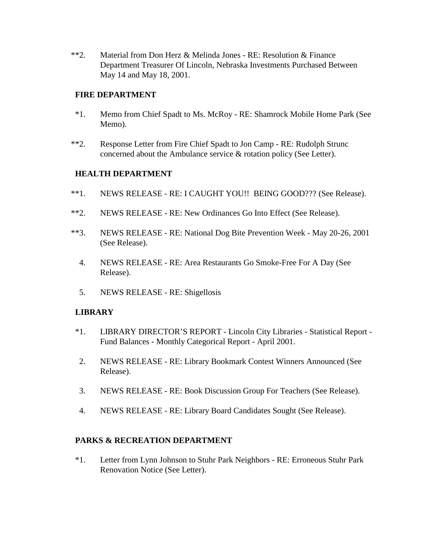\*\*2. Material from Don Herz & Melinda Jones - RE: Resolution & Finance Department Treasurer Of Lincoln, Nebraska Investments Purchased Between May 14 and May 18, 2001.

#### **FIRE DEPARTMENT**

- \*1. Memo from Chief Spadt to Ms. McRoy RE: Shamrock Mobile Home Park (See Memo).
- \*\*2. Response Letter from Fire Chief Spadt to Jon Camp RE: Rudolph Strunc concerned about the Ambulance service & rotation policy (See Letter).

### **HEALTH DEPARTMENT**

- \*\*1. NEWS RELEASE RE: I CAUGHT YOU!! BEING GOOD??? (See Release).
- \*\*2. NEWS RELEASE RE: New Ordinances Go Into Effect (See Release).
- \*\*3. NEWS RELEASE RE: National Dog Bite Prevention Week May 20-26, 2001 (See Release).
	- 4. NEWS RELEASE RE: Area Restaurants Go Smoke-Free For A Day (See Release).
	- 5. NEWS RELEASE RE: Shigellosis

### **LIBRARY**

- \*1. LIBRARY DIRECTOR'S REPORT Lincoln City Libraries Statistical Report Fund Balances - Monthly Categorical Report - April 2001.
- 2. NEWS RELEASE RE: Library Bookmark Contest Winners Announced (See Release).
- 3. NEWS RELEASE RE: Book Discussion Group For Teachers (See Release).
- 4. NEWS RELEASE RE: Library Board Candidates Sought (See Release).

### **PARKS & RECREATION DEPARTMENT**

\*1. Letter from Lynn Johnson to Stuhr Park Neighbors - RE: Erroneous Stuhr Park Renovation Notice (See Letter).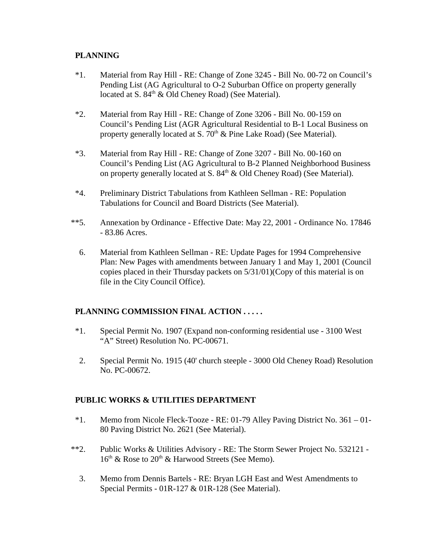### **PLANNING**

- \*1. Material from Ray Hill RE: Change of Zone 3245 Bill No. 00-72 on Council's Pending List (AG Agricultural to O-2 Suburban Office on property generally located at S.  $84<sup>th</sup>$  & Old Cheney Road) (See Material).
- \*2. Material from Ray Hill RE: Change of Zone 3206 Bill No. 00-159 on Council's Pending List (AGR Agricultural Residential to B-1 Local Business on property generally located at S.  $70<sup>th</sup>$  & Pine Lake Road) (See Material).
- \*3. Material from Ray Hill RE: Change of Zone 3207 Bill No. 00-160 on Council's Pending List (AG Agricultural to B-2 Planned Neighborhood Business on property generally located at S.  $84<sup>th</sup>$  & Old Cheney Road) (See Material).
- \*4. Preliminary District Tabulations from Kathleen Sellman RE: Population Tabulations for Council and Board Districts (See Material).
- \*\*5. Annexation by Ordinance Effective Date: May 22, 2001 Ordinance No. 17846 - 83.86 Acres.
	- 6. Material from Kathleen Sellman RE: Update Pages for 1994 Comprehensive Plan: New Pages with amendments between January 1 and May 1, 2001 (Council copies placed in their Thursday packets on 5/31/01)(Copy of this material is on file in the City Council Office).

## **PLANNING COMMISSION FINAL ACTION . . . . .**

- \*1. Special Permit No. 1907 (Expand non-conforming residential use 3100 West "A" Street) Resolution No. PC-00671.
- 2. Special Permit No. 1915 (40' church steeple 3000 Old Cheney Road) Resolution No. PC-00672.

### **PUBLIC WORKS & UTILITIES DEPARTMENT**

- \*1. Memo from Nicole Fleck-Tooze RE: 01-79 Alley Paving District No. 361 01- 80 Paving District No. 2621 (See Material).
- \*\*2. Public Works & Utilities Advisory RE: The Storm Sewer Project No. 532121  $16<sup>th</sup>$  & Rose to  $20<sup>th</sup>$  & Harwood Streets (See Memo).
	- 3. Memo from Dennis Bartels RE: Bryan LGH East and West Amendments to Special Permits - 01R-127 & 01R-128 (See Material).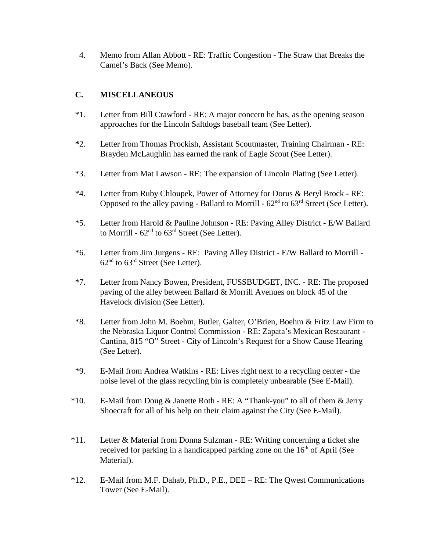4. Memo from Allan Abbott - RE: Traffic Congestion - The Straw that Breaks the Camel's Back (See Memo).

# **C. MISCELLANEOUS**

- \*1. Letter from Bill Crawford RE: A major concern he has, as the opening season approaches for the Lincoln Saltdogs baseball team (See Letter).
- **\***2. Letter from Thomas Prockish, Assistant Scoutmaster, Training Chairman RE: Brayden McLaughlin has earned the rank of Eagle Scout (See Letter).
- \*3. Letter from Mat Lawson RE: The expansion of Lincoln Plating (See Letter).
- \*4. Letter from Ruby Chloupek, Power of Attorney for Dorus & Beryl Brock RE: Opposed to the alley paving - Ballard to Morrill -  $62<sup>nd</sup>$  to  $63<sup>rd</sup>$  Street (See Letter).
- \*5. Letter from Harold & Pauline Johnson RE: Paving Alley District E/W Ballard to Morrill -  $62<sup>nd</sup>$  to  $63<sup>rd</sup>$  Street (See Letter).
- \*6. Letter from Jim Jurgens RE: Paving Alley District E/W Ballard to Morrill  $62<sup>nd</sup>$  to  $63<sup>rd</sup>$  Street (See Letter).
- \*7. Letter from Nancy Bowen, President, FUSSBUDGET, INC. RE: The proposed paving of the alley between Ballard & Morrill Avenues on block 45 of the Havelock division (See Letter).
- \*8. Letter from John M. Boehm, Butler, Galter, O'Brien, Boehm & Fritz Law Firm to the Nebraska Liquor Control Commission - RE: Zapata's Mexican Restaurant - Cantina, 815 "O" Street - City of Lincoln's Request for a Show Cause Hearing (See Letter).
- \*9. E-Mail from Andrea Watkins RE: Lives right next to a recycling center the noise level of the glass recycling bin is completely unbearable (See E-Mail).
- \*10. E-Mail from Doug & Janette Roth RE: A "Thank-you" to all of them & Jerry Shoecraft for all of his help on their claim against the City (See E-Mail).
- \*11. Letter & Material from Donna Sulzman RE: Writing concerning a ticket she received for parking in a handicapped parking zone on the  $16<sup>th</sup>$  of April (See Material).
- \*12. E-Mail from M.F. Dahab, Ph.D., P.E., DEE RE: The Qwest Communications Tower (See E-Mail).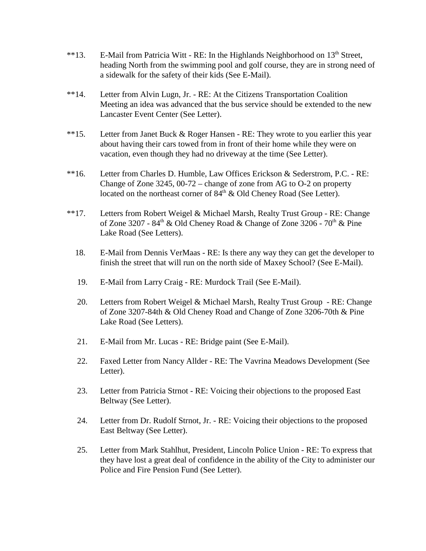- \*\*13. E-Mail from Patricia Witt RE: In the Highlands Neighborhood on 13<sup>th</sup> Street, heading North from the swimming pool and golf course, they are in strong need of a sidewalk for the safety of their kids (See E-Mail).
- \*\*14. Letter from Alvin Lugn, Jr. RE: At the Citizens Transportation Coalition Meeting an idea was advanced that the bus service should be extended to the new Lancaster Event Center (See Letter).
- \*\*15. Letter from Janet Buck & Roger Hansen RE: They wrote to you earlier this year about having their cars towed from in front of their home while they were on vacation, even though they had no driveway at the time (See Letter).
- \*\*16. Letter from Charles D. Humble, Law Offices Erickson & Sederstrom, P.C. RE: Change of Zone 3245, 00-72 – change of zone from AG to O-2 on property located on the northeast corner of  $84<sup>th</sup>$  & Old Cheney Road (See Letter).
- \*\*17. Letters from Robert Weigel & Michael Marsh, Realty Trust Group RE: Change of Zone 3207 -  $84<sup>th</sup>$  & Old Cheney Road & Change of Zone 3206 -  $70<sup>th</sup>$  & Pine Lake Road (See Letters).
	- 18. E-Mail from Dennis VerMaas RE: Is there any way they can get the developer to finish the street that will run on the north side of Maxey School? (See E-Mail).
	- 19. E-Mail from Larry Craig RE: Murdock Trail (See E-Mail).
	- 20. Letters from Robert Weigel & Michael Marsh, Realty Trust Group RE: Change of Zone 3207-84th & Old Cheney Road and Change of Zone 3206-70th & Pine Lake Road (See Letters).
	- 21. E-Mail from Mr. Lucas RE: Bridge paint (See E-Mail).
	- 22. Faxed Letter from Nancy Allder RE: The Vavrina Meadows Development (See Letter).
	- 23. Letter from Patricia Strnot RE: Voicing their objections to the proposed East Beltway (See Letter).
	- 24. Letter from Dr. Rudolf Strnot, Jr. RE: Voicing their objections to the proposed East Beltway (See Letter).
	- 25. Letter from Mark Stahlhut, President, Lincoln Police Union RE: To express that they have lost a great deal of confidence in the ability of the City to administer our Police and Fire Pension Fund (See Letter).